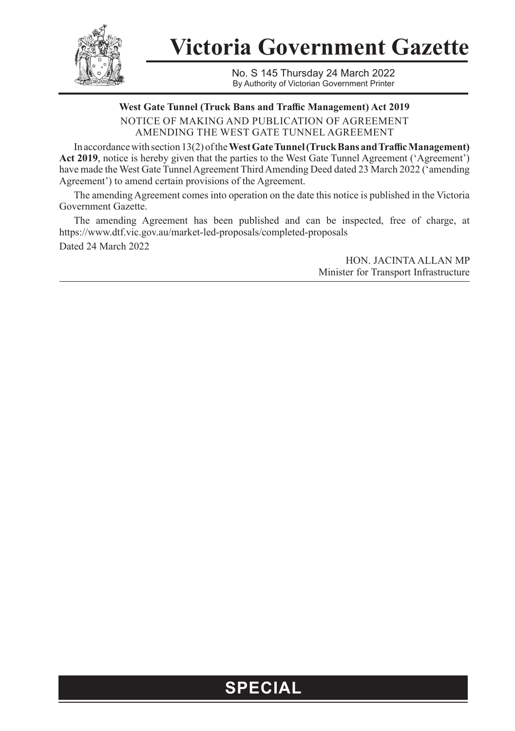

**Victoria Government Gazette**

No. S 145 Thursday 24 March 2022 By Authority of Victorian Government Printer

**West Gate Tunnel (Truck Bans and Traffic Management) Act 2019** NOTICE OF MAKING AND PUBLICATION OF AGREEMENT AMENDING THE WEST GATE TUNNEL AGREEMENT

In accordance with section 13(2) of the **West Gate Tunnel (Truck Bans and Traffic Management)**  Act 2019, notice is hereby given that the parties to the West Gate Tunnel Agreement ('Agreement') have made the West Gate Tunnel Agreement Third Amending Deed dated 23 March 2022 ('amending Agreement') to amend certain provisions of the Agreement.

The amending Agreement comes into operation on the date this notice is published in the Victoria Government Gazette.

The amending Agreement has been published and can be inspected, free of charge, at https://www.dtf.vic.gov.au/market-led-proposals/completed-proposals Dated 24 March 2022

> HON. JACINTA ALLAN MP Minister for Transport Infrastructure

## **SPECIAL**